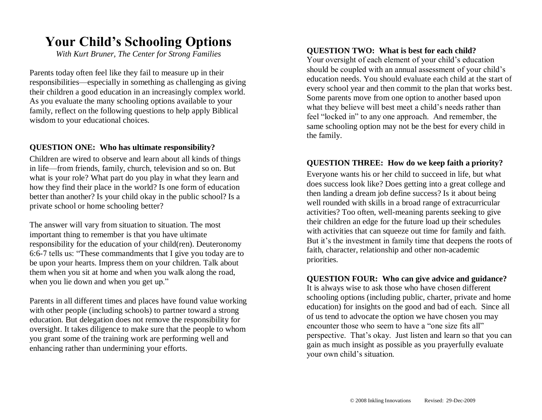## **Your Child's Schooling Options**

*With Kurt Bruner, The Center for Strong Families*

Parents today often feel like they fail to measure up in their responsibilities—especially in something as challenging as giving their children a good education in an increasingly complex world. As you evaluate the many schooling options available to your family, reflect on the following questions to help apply Biblical wisdom to your educational choices.

#### **QUESTION ONE: Who has ultimate responsibility?**

Children are wired to observe and learn about all kinds of things in life—from friends, family, church, television and so on. But what is your role? What part do you play in what they learn and how they find their place in the world? Is one form of education better than another? Is your child okay in the public school? Is a private school or home schooling better?

The answer will vary from situation to situation. The most important thing to remember is that you have ultimate responsibility for the education of your child(ren). Deuteronomy 6:6-7 tells us: "These commandments that I give you today are to be upon your hearts. Impress them on your children. Talk about them when you sit at home and when you walk along the road, when you lie down and when you get up."

Parents in all different times and places have found value working with other people (including schools) to partner toward a strong education. But delegation does not remove the responsibility for oversight. It takes diligence to make sure that the people to whom you grant some of the training work are performing well and enhancing rather than undermining your efforts.

#### **QUESTION TWO: What is best for each child?**

Your oversight of each element of your child's education should be coupled with an annual assessment of your child's education needs. You should evaluate each child at the start of every school year and then commit to the plan that works best. Some parents move from one option to another based upon what they believe will best meet a child's needs rather than feel "locked in" to any one approach. And remember, the same schooling option may not be the best for every child in the family.

#### **QUESTION THREE: How do we keep faith a priority?**

Everyone wants his or her child to succeed in life, but what does success look like? Does getting into a great college and then landing a dream job define success? Is it about being well rounded with skills in a broad range of extracurricular activities? Too often, well-meaning parents seeking to give their children an edge for the future load up their schedules with activities that can squeeze out time for family and faith. But it's the investment in family time that deepens the roots of faith, character, relationship and other non-academic priorities.

#### **QUESTION FOUR: Who can give advice and guidance?**

It is always wise to ask those who have chosen different schooling options (including public, charter, private and home education) for insights on the good and bad of each. Since all of us tend to advocate the option we have chosen you may encounter those who seem to have a "one size fits all" perspective. That's okay. Just listen and learn so that you can gain as much insight as possible as you prayerfully evaluate your own child's situation.